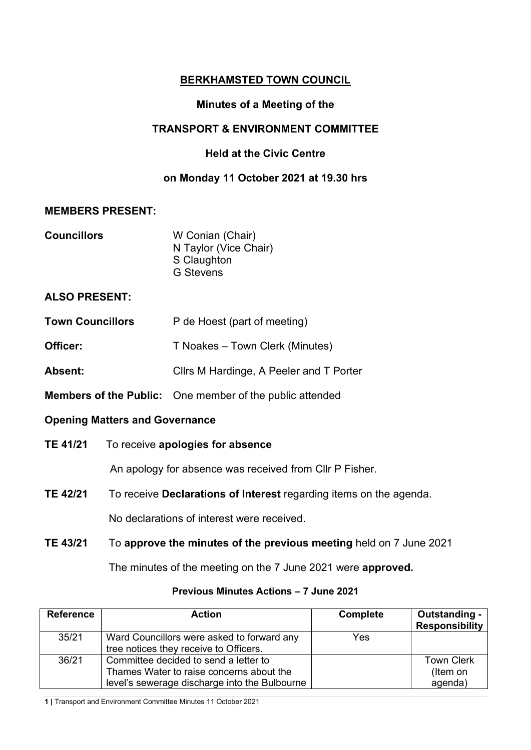# **BERKHAMSTED TOWN COUNCIL**

## **Minutes of a Meeting of the**

### **TRANSPORT & ENVIRONMENT COMMITTEE**

## **Held at the Civic Centre**

### **on Monday 11 October 2021 at 19.30 hrs**

#### **MEMBERS PRESENT:**

| <b>Councillors</b> | W Conian (Chair)      |
|--------------------|-----------------------|
|                    | N Taylor (Vice Chair) |
|                    | S Claughton           |
|                    | <b>G</b> Stevens      |

### **ALSO PRESENT:**

- **Town Councillors** P de Hoest (part of meeting)
- **Officer:** T Noakes Town Clerk (Minutes)
- Absent: Cllrs M Hardinge, A Peeler and T Porter
- **Members of the Public:** One member of the public attended

### **Opening Matters and Governance**

**TE 41/21** To receive **apologies for absence**

An apology for absence was received from Cllr P Fisher.

**TE 42/21** To receive **Declarations of Interest** regarding items on the agenda.

No declarations of interest were received.

**TE 43/21** To **approve the minutes of the previous meeting** held on 7 June 2021

The minutes of the meeting on the 7 June 2021 were **approved.**

| <b>Action</b>                                                                        | <b>Complete</b>                               | Outstanding -<br><b>Responsibility</b>   |
|--------------------------------------------------------------------------------------|-----------------------------------------------|------------------------------------------|
| Ward Councillors were asked to forward any<br>tree notices they receive to Officers. | Yes                                           |                                          |
| Committee decided to send a letter to<br>Thames Water to raise concerns about the    |                                               | <b>Town Clerk</b><br>(Item on<br>agenda) |
|                                                                                      | level's sewerage discharge into the Bulbourne |                                          |

### **Previous Minutes Actions – 7 June 2021**

**1 |** Transport and Environment Committee Minutes 11 October 2021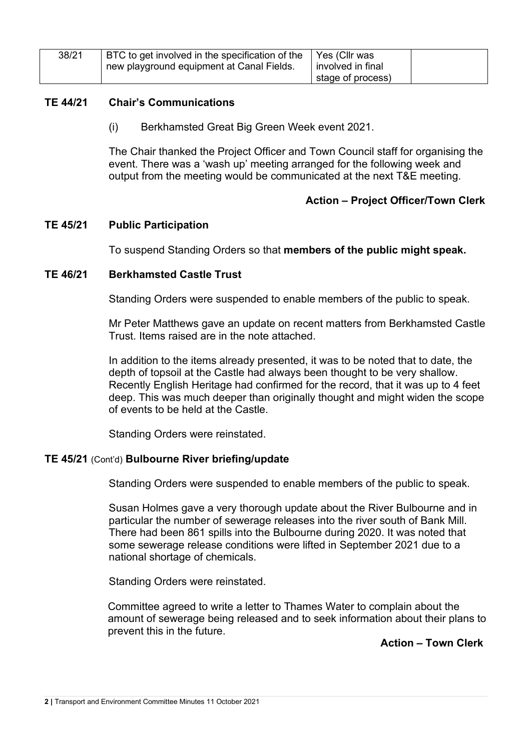| 38/21 | BTC to get involved in the specification of the<br>new playground equipment at Canal Fields. | Yes (Cllr was<br>involved in final |  |
|-------|----------------------------------------------------------------------------------------------|------------------------------------|--|
|       |                                                                                              | stage of process)                  |  |

### **TE 44/21 Chair's Communications**

(i) Berkhamsted Great Big Green Week event 2021.

The Chair thanked the Project Officer and Town Council staff for organising the event. There was a 'wash up' meeting arranged for the following week and output from the meeting would be communicated at the next T&E meeting.

### **Action – Project Officer/Town Clerk**

#### **TE 45/21 Public Participation**

To suspend Standing Orders so that **members of the public might speak.**

#### **TE 46/21 Berkhamsted Castle Trust**

Standing Orders were suspended to enable members of the public to speak.

Mr Peter Matthews gave an update on recent matters from Berkhamsted Castle Trust. Items raised are in the note attached.

In addition to the items already presented, it was to be noted that to date, the depth of topsoil at the Castle had always been thought to be very shallow. Recently English Heritage had confirmed for the record, that it was up to 4 feet deep. This was much deeper than originally thought and might widen the scope of events to be held at the Castle.

Standing Orders were reinstated.

### **TE 45/21** (Cont'd) **Bulbourne River briefing/update**

Standing Orders were suspended to enable members of the public to speak.

Susan Holmes gave a very thorough update about the River Bulbourne and in particular the number of sewerage releases into the river south of Bank Mill. There had been 861 spills into the Bulbourne during 2020. It was noted that some sewerage release conditions were lifted in September 2021 due to a national shortage of chemicals.

Standing Orders were reinstated.

Committee agreed to write a letter to Thames Water to complain about the amount of sewerage being released and to seek information about their plans to prevent this in the future.

**Action – Town Clerk**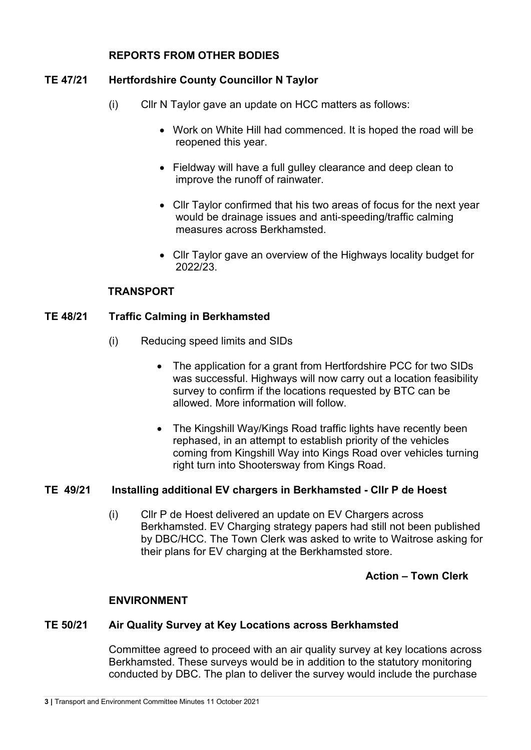### **REPORTS FROM OTHER BODIES**

# **TE 47/21 Hertfordshire County Councillor N Taylor**

- (i) Cllr N Taylor gave an update on HCC matters as follows:
	- Work on White Hill had commenced. It is hoped the road will be reopened this year.
	- Fieldway will have a full gulley clearance and deep clean to improve the runoff of rainwater.
	- Cllr Taylor confirmed that his two areas of focus for the next year would be drainage issues and anti-speeding/traffic calming measures across Berkhamsted.
	- Cllr Taylor gave an overview of the Highways locality budget for 2022/23.

### **TRANSPORT**

# **TE 48/21 Traffic Calming in Berkhamsted**

- (i) Reducing speed limits and SIDs
	- The application for a grant from Hertfordshire PCC for two SIDs was successful. Highways will now carry out a location feasibility survey to confirm if the locations requested by BTC can be allowed. More information will follow.
	- The Kingshill Way/Kings Road traffic lights have recently been rephased, in an attempt to establish priority of the vehicles coming from Kingshill Way into Kings Road over vehicles turning right turn into Shootersway from Kings Road.

### **TE 49/21 Installing additional EV chargers in Berkhamsted - Cllr P de Hoest**

(i) Cllr P de Hoest delivered an update on EV Chargers across Berkhamsted. EV Charging strategy papers had still not been published by DBC/HCC. The Town Clerk was asked to write to Waitrose asking for their plans for EV charging at the Berkhamsted store.

# **Action – Town Clerk**

### **ENVIRONMENT**

# **TE 50/21 Air Quality Survey at Key Locations across Berkhamsted**

Committee agreed to proceed with an air quality survey at key locations across Berkhamsted. These surveys would be in addition to the statutory monitoring conducted by DBC. The plan to deliver the survey would include the purchase